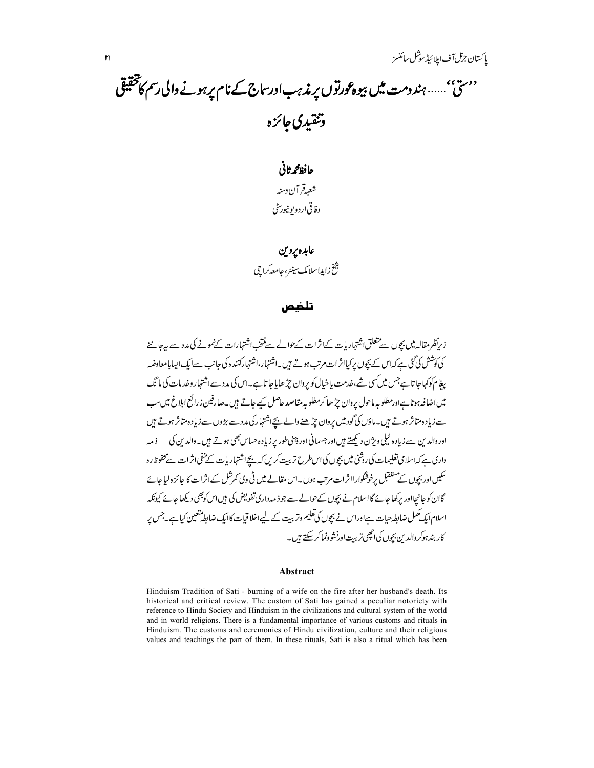# ''ستی''…… ہندومت میں بیوہ *قورتو*ں پر مذہبادرساج کے نام *پر ہونے* والی رسم کا تحقیقی وتنقيدي جائزه

حافظ محمرثاني شعبةقر آن دسنه وفاقي اردويو نيورسِيُّ

#### عابده يروين

تىنخ زايداسلامك سين<sub>ى</sub>ء جامعه *كر*اچى

#### تلضص

زىرنظر مقالہ میں بچوں سے متعلق اشتہار بات کےاثرات کے حوالے سے منتخب اشتہارات کےنمونے کی مدد سے بہ جاننے کی کوشش کی گئی ہے کہاس کے بچوں پر کیااثرات مرتب ہوتے ہیں۔اشتہار،اشتہارکنندہ دکی جانب سےایک ایپایامعاوضہ یغام کوکہا جا تا ہےجس میں کسی شے،خدمت یا خیال کو پروان جڑھایا جا تا ہے۔اس کی مدد سےاشتہار وخد مات کی ما تک میں اضافہ ہوتا ہےاورمطلوبہ ماحول پروان جڑھا کرمطلوبہ مقاصد حاصل کیے جاتے ہیں ۔صارفین زرائع اہلاغ میں سب سے زیاد ہ متاثر ہوتے ہیں۔ماؤں کی گودمیں پروان چڑھنے والے بچےاشتہار کی مدد سے بڑوں سے زیاد ہ متاثر ہوتے ہیں اور دالد بن سے زیاد ہ ٹیلی ویژن دیکھتے ہیں اور جسمانی اور ڈینی طور پر زیادہ حساس بھی ہوتے ہیں۔والد بن کی } دمہ داری ہے کہ اسلامی تعلیمات کی روشنی میں بچوں کی اس طرح تر بیت کریں کہ بچےاشتہار بات کے منفی اثر ات سے محفوظ رہ سکیں اور بچوں کےمستقبل برخوشگوار ااثرات مرتب ہوں۔اس مقالے میں ٹی وی کمرشل کےاثرات کا جائزہ لیا جائے گاان کو جانحااور برکھا جائے گااسلام نے بیچوں کے حوالے سے جو ذیہ داری تفویض کی ہیں اس کو بھی دیکھا جائے کیونکہ اسلام ایک مکمل ضابط حیات ہےاوراس نے بچوں کی تعلیم وتربیت کے لیےاخلا قیات کاایک ضابط متعین کیا ہے۔جس پر کار بندہوکروالد ین بچوں کی انچھی تربت اورنشو دنما کر سکتے ہیں۔

#### **Abstract**

Hinduism Tradition of Sati - burning of a wife on the fire after her husband's death. Its historical and critical review. The custom of Sati has gained a peculiar notoriety with reference to Hindu Society and Hinduism in the civilizations and cultural system of the world and in world religions. There is a fundamental importance of various customs and rituals in Hinduism. The customs and ceremonies of Hindu civilization, culture and their religious values and teachings the part of them. In these rituals, Sati is also a ritual which has been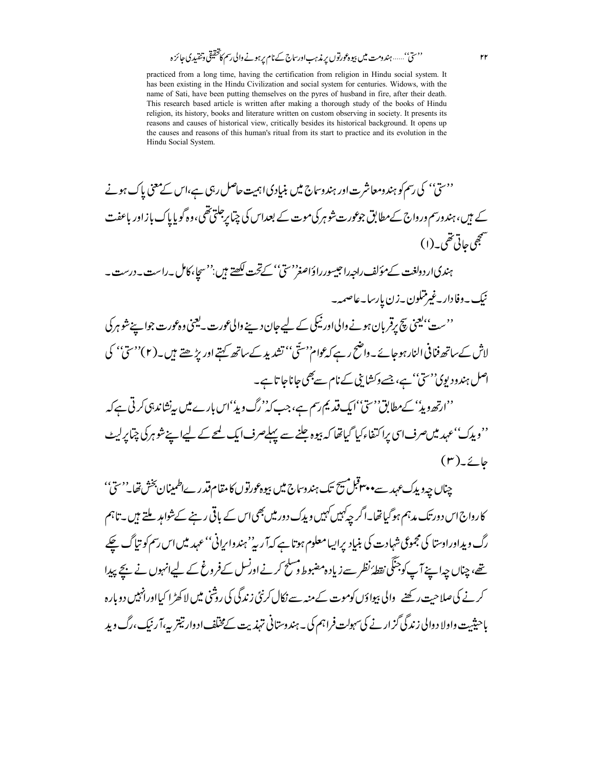practiced from a long time, having the certification from religion in Hindu social system. It has been existing in the Hindu Civilization and social system for centuries. Widows, with the name of Sati, have been putting themselves on the pyres of husband in fire, after their death. This research based article is written after making a thorough study of the books of Hindu religion, its history, books and literature written on custom observing in society. It presents its reasons and causes of historical view, critically besides its historical background. It opens up the causes and reasons of this human's ritual from its start to practice and its evolution in the Hindu Social System.

<sup>د دس</sup>تیٰ' کی رسم کو ہندومعاشرت اور ہندوساج میں بنی<u>ا</u>دی اہمیت حاصل رہی ہے،اس کے معنی پاک ہونے کے ہیں، ہندورسم درواج کےمطابق جوعورت شوہر کی موت کے بعداس کی چیا پرجلتی تھی،وہ گویایاک بازاور باعفت منتججي حاتي تقمي به (١) ہندی اردولغت کےمؤلف راجہ راجیسور راؤاصغ<sup>ر دس</sup>تیٰ' کےتحت <del>لکھتے ہیں ''سج</del>اِ،کامل ۔راست ۔درست ۔ نيك بەدفادار بەغىر تىلون بەزن پارسا بەعاصمە-''ست''یعنی پیچ پرقربان ہونے والیااور ٹیکی کے لیے جان دینے والی عورت یہ یعنی وہ عورت جواسیۓشو ہر کی لاش کے ساتھ فنا فی النار ہوجائے ۔ واضح رہے کہ عوام''ستّی'' تشدید کے ساتھ کہتے اور بڑھتے ہیں ۔(۲)''سیّ'' کی اصل ہندود یوی''سی'' ہے، جسے دکشا پی کے نام سے بھی جاناجا تا ہے۔ ''ارتھ دیڈ' کےمطابق''سیٰ''ایک قدیم رسم ہے،جب کہ''رگ دیڈ'اس بارے میں بی<sup>ن</sup>شاندہی کرتی ہے کہ ''ویڈک''عہد میںصرف <sub>اس</sub>ی پراکتفاءکیا گیاتھا کہ بیوہ جلنے سے پہلےصرف ایک لمحے کے لیےاپنے شوہرکی چ<sub>ی</sub>ا پرلیٹ  $(r)\angle\angle\phi$ 

چناں چہ ویڈک *عہد* سے **مصوبہتی ہے تک ہندوساج میں بیوہ عورتو**ں کا مقام **قدر ےاطمینان بخش تھا۔''سیٰ**'' کارواج اس دورتک مدہم ہوگیا تھا۔اگر چہ کہیں کہیں و پدک دور میں بھی اس کے باقی رہنے کےشواہد ملتے ہیں ۔تاہم رگ ویداورادستا کی مجموعی شہادت کی بنیاد پراپیامعلوم ہوتا ہے کہ آر پر' ہندوا برانی'' عہد میں اس رسم کو تپاگ چکے تھے، چناں چہ اپنے آپ کوجنگی نقطۂ نظر سے زیاد ہ مضبوط وسلح کرنے اورنسل کےفروغ کے لیےانہوں نے بچے پیدا کرنے کی صلاحت رکھنے والی بیواؤں کوموت کے منہ سے نکال کرنٹی زندگی کی روشنی میں لاکھڑ ا کیااورانہیں دوبارہ یاحیثیت واولا د والی زندگی گز ار نے کی سہولت فراہم کی ۔ ہندوستانی تہذیت کےمختلف ادوار تیتر یہ،آ رنیک،رگ وید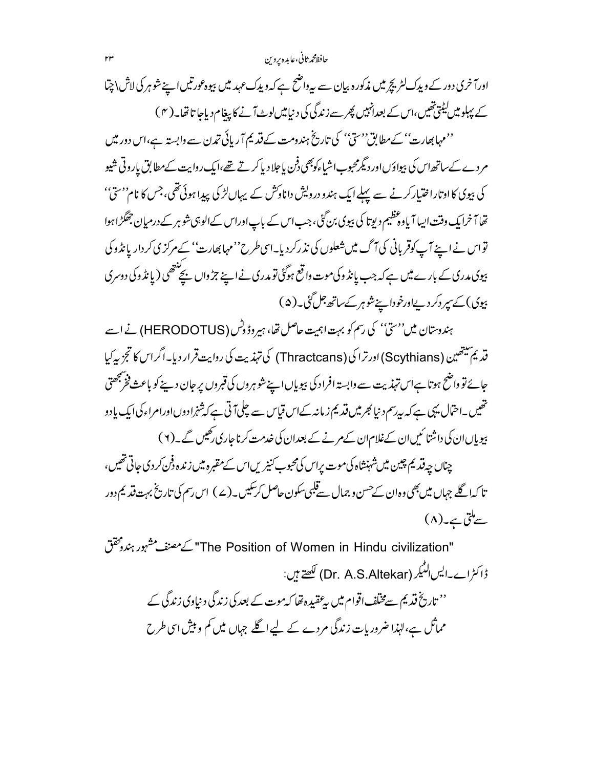حافظ محمرثاني،عابده بروين

اورآ خری دور کے ویدک لٹریچرمیں مذکورہ بیان سے پیرواضح ہے کہ ویدک عہد میں بیوہ عورتیں اپنے شوہر کی لاش\چتا کے پہلو میں لیٹتی تھیں،اس کے بعدانہیں پھر سے زندگی کی دیپامیں لوٹ آنے کا پیغام دیاجا تا تھا۔( ۴ ) ''مہابھارت'' کےمطابق''سیؒ'' کی تاریخ ہندومت کے قدیم آریائی تمدن سے وابستہ ہے،اس دور میں مردے کےساتھ اس کی بیواؤںاور دیگرمحبوباشیاءکوجھی فرن یا جلاد یا کرتے تھے،ایک روایت کےمطابق یاروتی شیو کی بیوی کا اوتاراختیارکرنے سے پہلے ایک ہندو درویش داناوکش کے یہاںلڑ کی پیدا ہوئی تھی،جس کا نام''سیٰ'' تھا آ خرایک وقت ایسا آیا وہ تنظیم دیوتا کی بیوی بن گئی، جب اس کے باپ اوراس کے الوہی شو ہر کے درمیان جھگڑا ہوا تو اس نے اپنے آپ کوقر پانی کی آگ میں شعلوں کی نذ رکردیا۔اسی طرح''مہابھارت'' کےمرکز ی کردار یا نڈ وکی

بیوی مدری کے بارے میں ہے کہ جب یا تڈ وکی موت واقع ہوگئی تو مدری نے اپنے جڑ واں بچ<sup>لنت</sup>ھی ( یا تڈ وکی دوسری بیوی) کے سپر دکر دیےاورخوداپنے شوہر کے ساتھ جل گئی۔(۵)

ہندوستان میں''ستیٰ'' کی رسم کو بہت اہمیت حاصل تھا، ہیروڈ دِٹس (HERODOTUS) نے اسے قدیم سیتھین (Scythians) اورترا کی (Thractcans) کی تہذیت کی روایت قرار دیا۔اگراس کا تجزیہ کیا جائے تو واضح ہوتا ہےاس تہذیت سے وابستہ افراد کی بیویاں اپنے شوہروں کی قبروں پر جان دینے کو باعث فخ پنجھتی تھیں۔احتمال یہی ہے کہ بیرسم د نیا بھر میں قدیم ز مانہ کےاس قیاس سے چلی آتی ہے کہ شنمرادوںاورامراء کی ایک یا دو ہیویاںان کی داشتا ئیں ان کےغلام ان کےم نے کے بعدان کی غدمت کرناچاری *رکھی*ں گے۔(۲)

چناں چہ قدیم چین میں شہنشاہ کی موت پراس کی محبوب کنیزیں اس کے مقبرہ میں زندہ دفن کر دی جاتی تھیں ، تا کہا گلے جہاں میں بھی وہ ان کےحسن و جمال سے قلبی سکون حاصل کرسکیں۔( ے ) اس رسم کی تاریخ بہت قد یم دور سےملتی ہے۔(۸)

"The Position of Women in Hindu civilization" كے مصنف مشہور ہندد پخفق ڈاکٹراے۔ایس لنگیر (Dr. A.S.Altekar) لکھتے ہیں: '' تاریخ قدیم سے مختلف اقوام میں پہ عقیدہ تھا کہ موت کے بعد کی زندگی د نیاوکی زندگی کے مماثل ہے،لہٰذا ضرور بات زندگی مردے کے لیے اگلے جہاں میں کم و بیش اسی طرح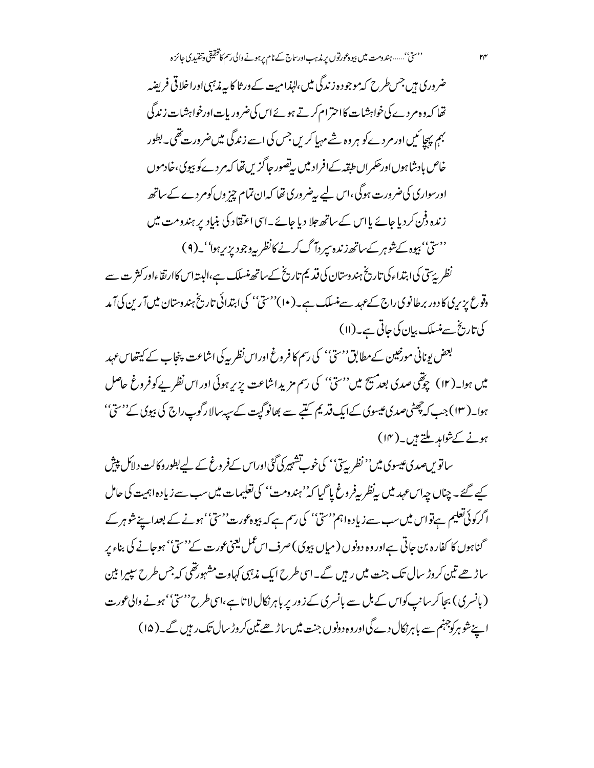ضروری ہیں جس طرح کہ موجود ہ زندگی میں،لہٰذا میت کے ورثا کا پہ مذہبی اوراخلا قی فریضہ تھا کہ وہ مردے کی خواہشات کااحترام کرتے ہوئے اس کی ضروریات اورخواہشات زندگی بہم پہچائیں اورمردے کو ہر وہ شےمہ پا کریں جس کی اسے زندگی میں ضرورت تھی۔ بطور خاص بإدشاہوںاورحکمراں طبقہ کےافراد میں بیاضور جاگزیں تھا کہ مردےکو بیوی،خادموں اورسواری کی ضرورت ہوگی ،اس لیے پیضروری تھا کہ ان تمام چیز وں کومردے کے ساتھ زندہ دفن کردیا جائے پااس کے ساتھ جلا دیا جائے۔اسی اعتقاد کی بنیاد پر ہندومت میں ''سیٰ'' بیوہ کےشوہر کےساتھ زندہ سپر دآ گ کرنے کانظر پہ دجودیز پر ہوا''۔(۹)

نظر پرِّتی کی ابتداءکی تاریخ ہندوستان کی قدیم تاریخ کےساتھ منسلک ہے،البیتہاس کاارتقاءاور کثر ت سے وقوع پزیر پی کا دور برطانوی راج کے عہد سے منسلک ہے۔( ۱۰)''ستیٰ'' کی ابتدائی تاریخ ہندوستان میں آ رین کی آ مد كى تاريخ سے منسلك بيان كى جاتى ہے۔(١١)

بعض بونانی مورخین کےمطابق''سیؓ'' کی رسم کا فروغ اوراس نظریہ کی اشاعت پنجاب کے کیتھاس عہد میں ہوا۔( ۱۲ ) چوتھی صدی بعد پھیسچ میں''سیٰ'' کی رسم مزیدِ اشاعت پزیر ہوئی اور اس نظریے کوفروغ حاصل ہوا۔( ۱۳) جب کہ چھٹی صدی عیسوی کےایک قدیم کتبے سے بھانو گیت کے سیہ سالا رگوپ راج کی بیوی کے''سیٰ'' ہونے کےشواہد ملتے ہیں۔(۱۴)

ساتویںصدی عیسوی میں'' نظر پہ تی'' کی خوب تشہیر کی گئی اوراس کےفر وغ کے لیے بطور وکالت دلاکل پیش کیے گئے۔چناں چہاس عہد میں پہنظر پیفروغ پا گیا کہ''ہندومت'' کی تعلیمات میں سب سے زیادہ اہمیت کی حامل اگرکوئی تعلیم ہےتواس میں سب سے زیادہ اہم''سیؓ'' کی رسم ہےکہ بیوہ عورت''سیؓ'' ہونے کے بعدا پنے شوہر کے گناہوں کا کفارہ بن جاتی ہےاور وہ دونوں (میاں بیوی) صرف اسمًل یعنی عورت کے''ستیٰ' ہوجانے کی بناء پر ساڑھے تین کروڑ سال تک جنت میں رہیں گے۔اسی طرح ایک مذہبی کہاوت مشہورتھی کہ جس طرح سپیرا بین (بانسری) بجا کر سانپ کواس کے ہل سے بانسری کے زور پر باہر نکال لا تا ہے،اسی طرح''ستیٰ'' ہونے والی عورت اپنے شو ہرکوچہنم سے باہرنکال دے گی اور وہ دونوں جنت میں ساڑھے تین کروڑ سال تک ریں گے۔( ۱۵ )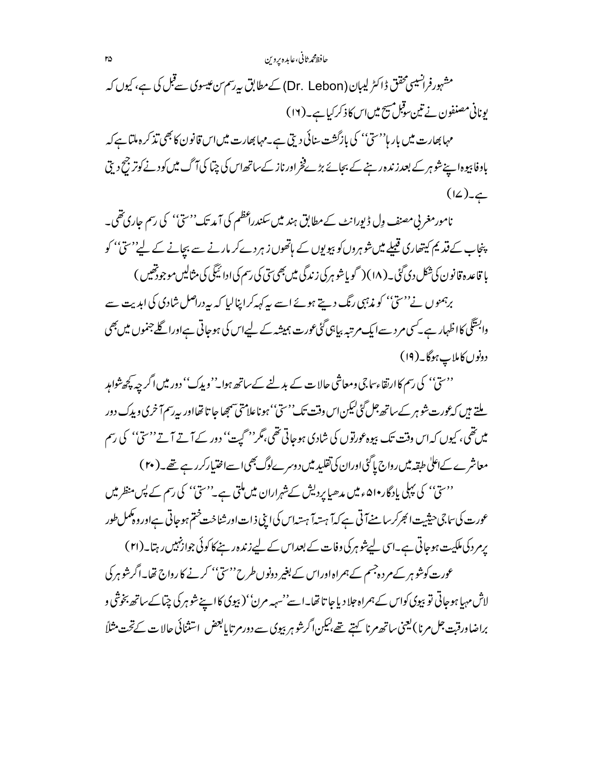## حافظ محمرثاني،عابده بروين

مشہورفرانسیسی محقق ڈاکٹر لیبان (Dr. Lebon) کے مطابق بی<sub>د</sub>سم من عیسوی سے قبل کی ہے، کیوں کہ یونانی مصنفون نے تین سوقیل مہیج میں اس کا ذکر کیا ہے۔(١٢) مہابھارت میں بار ہا<sup>د دی</sup>ں'' کی بازگشت سائی دیتی ہے۔مہابھارت میں اس قانون کا بھی تذکر ہ ملتا ہے کہ یاوفا بیوہ اپنے شوہر کے بعد زندہ رہنے کے بجائے بڑےفخراورناز کےساتھ اس کی چپا کی آگ میں کود نے کوتر جح دیتی  $(L)$ 

نامورمغربی مصنف وِل ڈیورانٹ کےمطابق ہند میں سکندراعظم کی آمد تک'' سیّ'' کی رسم جاری تھی۔ پنجاب کے قدیم کیتھاری قبیلے میں شوہروں کو پیویوں کے ہاتھوں زہر دےکر مارنے سے بیانے کے لیے''سیّ'' کو یا قاعدہ قانون کی شکل دی گئی۔(۱۸) ( گویاشوہر کی زندگی میں بھی سی کی رسم کی ادا ئیگی کی مثالیں موجودتھیں )

برہمنوں نے''سیٰ'' کو مذہبی رنگ دیتے ہوئے اسے پیرکہہ کراپنالیا کہ بیردراصل شادی کی ابدیت سے وابسَّگی کااظہار ہے۔کسی مرد سےایک مرتبہ بیاہی گئی عورت ہمیشہ کے لیےاس کی ہوجاتی ہےاورا گلے جنموں میں بھی دونوں کاملاب ہوگا۔(۱۹)

''سیٰ'' کی رسم کاارتقاءساجی ومعاشی حالات کے بدلنے کے ساتھ ہوا۔''ویدک'' دور میں اگر چہ پچھ شواہد ملتے ہیں کہ عورت شوہر کے ساتھ جل گئی کیکن اس وقت تک''سیؓ'' ہوناعلامتی سمجھا جا تا تھااور پیرسم آ خری ویدک دور میںتھی، کیوں کہ اس وقت تک بیوہ عورتوں کی شادی ہوجاتی تھی،مگر'' گیت'' دور کے آتے آتے'' سیٰ'' کی رسم

معاشرے کےاعلٰی طبقہ میں رواج یا گئی اوران کی تقلید میں دوسرےلوگ بھی اسےاختیارکررہے تھے۔( ۲۰ ) ''سیّ'' کی پہلی پادگار•ا۵ء میں مدھیاپردیش کےشہراران میں ملتی ہے۔''سیّ'' کی رسم کے پس منظر میں عورت کی سا جی حیثیت الجرکرسا منےآتی ہے کہ آ ہستہ آ ہستہ اس کی اپنی ذات اور شناخت ختم ہوجاتی ہےاور وہکمل طور

یرمرد کی ملکیت ہوجاتی ہے۔اسی لیےشوہر کی وفات کے بعداس کے لیے زندہ رہنے کا کوئی جوازنہیں رہتا۔(۲۱) عورت کوشو ہر کے مردہ جسم کے ہمراہ اور اس کے بغیر دونوں طرح''ستیٰ'' کرنے کا رواج تھا۔اگرشو ہر کی لاش مہیا ہوجاتی تو بپوی کواس کے ہمراہ جلا دیا جا تا تھا۔اسے''سہہ مرن'' (بپوی کا اپنے شو ہر کی چیا کے ساتھ بخوشی و براضاورقبت جل مرنا ) يعني ساتھ مرنا كہتے تھے،ليكن اگرشو ہر بيوي سے دور مرتا يابعض استثنائي حالا ت كےتحت مثلاً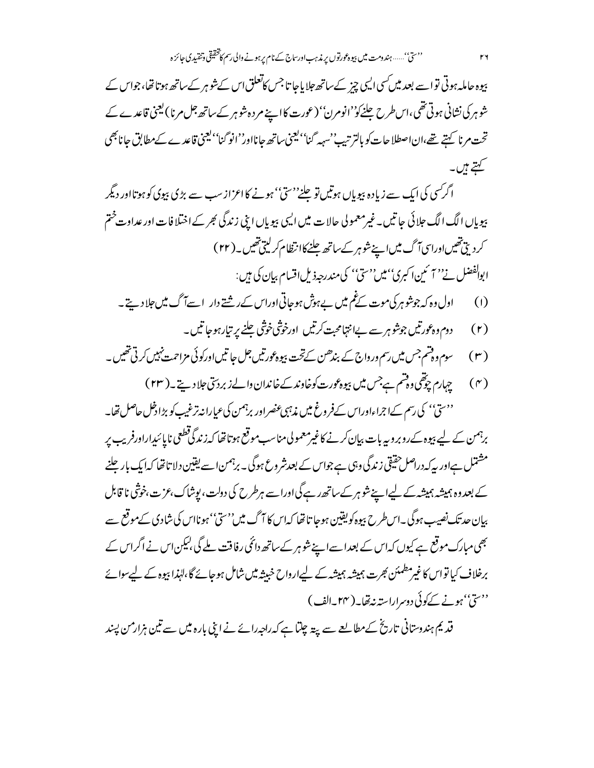بیوہ حاملہ ہوتی تواسے بعد میں *کس*ی ا<sup>ل</sup>یپی چز کےساتھ جلایاجا تا جس کاتعلق اس کےشو ہر کےساتھ ہوتا تھا، جواس کے شوہر کی نشانی ہوتی تھی،اس طرح چلنے کو''انومرن'' (عورت کا اپنے مردہ شوہر کے ساتھ جل مرنا )لیجنی قاعدے کے تحت مرنا کہتے تھے،اناصطلاحات کو بالتر تیپ'سہہ گنا''یعنی ساتھ جانااور''انو گنا''یعنی قاعدے کےمطابق جانابھی کہتے ہیں۔

اگر کسی کی ایک سے زیادہ ہیویاں ہوتیں تو چلنے''سیؓ'' ہونے کااعزاز سب سے بڑی ہیوی کو ہوتا اور دیگر پیویاں الگ الگ حلائی جاتیں۔غیرمعمولی حالات میں ایسی پیویاں اپنی زندگی بھر کے اختلافات اور عداوت ختم کردیتی تھیںاوراسی آگ میں اپنے شوہر کے ساتھ جلنے کاانتظام کرلیتی تھیں۔(۲۲) ابوالفضل نے'' آ ئمین اکبری''میں''سیؓ'' کی مندرجہذیل اقسام بیان کی ہیں:

- اول وہ کہ جوشو ہر کی موت کے ٹم میں بے ہوش ہوجاتی اوراس کے رشتے دار اسےآگ میں جلا دیتے۔  $(1)$ 
	-
- ( ۳ ) سوم ووقتم جس میں رسم ورواج کے بندھن کےتحت بیو ہورتیں جل جا تیں اورکوئی مزاحمت نہیں کرتی تھیں ۔
- (۴) جہارم چوتھی دوشم ہےجس میں بیوہ <sub>گ</sub>ورت کوخاوند کے خاندان والے زبر دستی جلاد ہیتے ۔( ۲۳ ) ''سیّ'' کی رسم کےاجراءاوراس کےفروغ میں مذہبی عنصراور برہمن کی عیارانہ ترغیب کو ہڑا دخل حاصل تھا۔

برہمن کے لیے بیوہ کےروبرو بیربات بیان کرنے کاغیرمعمولی مناسب موقع ہوتا تھا کہ زندگی قطعی ناپائنداراورفریب پر مشتمل ہےاور پیرکہ دراصل حقیقی زندگی وہی ہے جواس کے بعدشروع ہوگی۔ برہمن اسے یقین دلا تا تھا کہ ایک بار جلنے کے بعد وہ ہمیشہ ہمیشہ کے لیےاپنے شوہر کےساتھ رہے گی اوراسے ہرطرح کی دولت، یوشاک،عزت،خوشی نا قابل بیان حد تک نصیب ہوگی۔اس طرح بیوہ کویفین ہوجا تا تھا کہاس کا آگ میں''سیٰ'' ہونااس کی شادی کےموقع سے بھی مبارک موقع ہے کیوں کہ اس کے بعداسےاپنے شوہر کے ساتھ دائمی رفاقت ملے گی ،لیکن اس نے اگر اس کے برخلاف کیا تواس کا غیرمطمئن بھرت ہمیشہ ہمیشہ کے لیےارواح خبیثہ میں شامل ہوجائے گا،لہٰذا بیوہ کے لیےسوائے درسی بہونے کےکوئی دوسراراستہ نہ تھا۔(۲۴ <sub>س</sub>الف)

قدیم ہندوستانی تاریخ کےمطالعے سے پیتہ چلتا ہے کہ راجہ رائے نے اپنی بارہ میں سے تین ہزار من پسند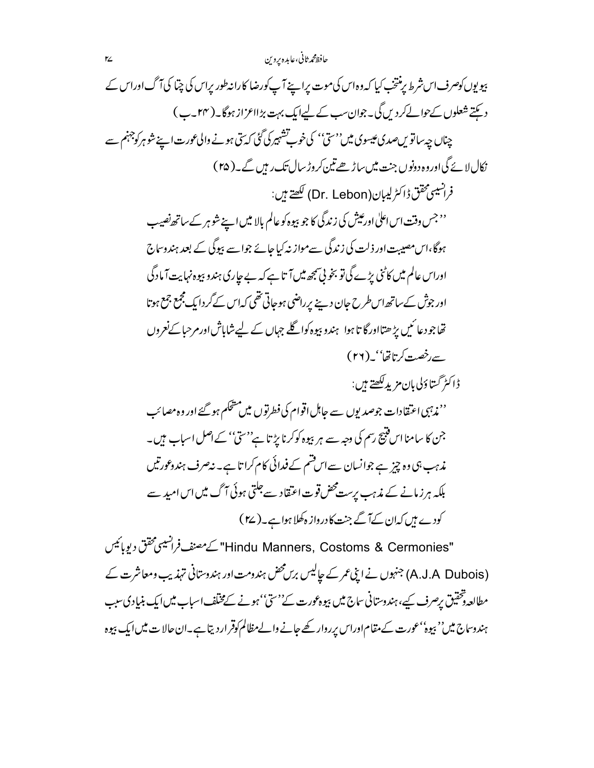حافظ محمر ثاني،عابده پروين

بیویوں کوصرف اس شرط یرمنتخب کیا کہ وہ اس کی موت پراپنے آپ کورضا کارانہ طور پراس کی چتا کی آگ اوراس کے دیکتے شعلوں کےحوالےکر دیں گی۔جوان سب کے لیےایک بہت بڑااعزاز ہوگا۔( ۲۴ ۔ب) چناں چہ ساتویںصدی عیسوی میں''سیٰ' کی خوب تشہیر کی گئی کہ سی ہونے والی عورت اپنے شو ہرکوجہنم سے نکال لائے گی اوروہ دونوں جنت میں ساڑھے تین کروڑ سال تک رہیں گے۔( r۵ ) فرانسيسم محقق ڈاکٹر لیبان(Dr. Lebon) لکھتے ہیں: ''جس وقت اس اعلٰی اورعیش کی زندگی کا جو بیوہ کو عالم بالا میں اپنے شوہر کے ساتھ نصیب ہوگا،اس مصیبت اور ذلت کی زندگی سےمواز نہ کیا جائے جواسے بیوگی کے بعد ہندوساج اوراس عالم میں کاٹنی پڑے گی تو بخو پی تبجھ میں آ تا ہے کہ بے جاری ہندو بیوہ نہایت آ مادگی اور جوش کے ساتھ اس طرح جان دینے پر راضی ہوجاتی تھی کہ اس کے گر دایک مجمع جمع ہوتا تھا جو دعا ئىيں پڑ ھتااور گا تا ہوا ہندو بيوہ كوا گلے جہاں كے ليے شاباش اور مرحبا كےنعروں . سەرخصىة كەتاتقا" (٢٦) <u>ژاڭىژ گىتاؤلى بان مزيدىكھتے</u> ہىن: ' نم**ذ** ببی اعتقادات جوصد یوں سے جاہل اقوام کی فطرتوں میں مشحکم ہو گئے اور وہ مصائب جن کا سامنا اس فتیح رسم کی وجہ سے ہر بیوہ کوکرنا پڑ تا ہے''سی'' کے اصل اسباب ہیں۔ مذہب ہی وہ چیز ہے جوانسان سےاس قسم کے فیدائی کام کرا تا ہے۔ نیصرف ہندوعورتیں بلکہ ہرزمانے کے مذہب برست محض قوت اعتقاد سے جلتی ہوئی آگ میں اس امید سے کودے ہیں کہان کےآ گے جنت کا درواز ہ کھلا ہوا ہے۔( ۲۷ )

"Hindu Manners, Costoms & Cermonies" كےمصنف فرانسیسی محقق دیوبائیس (A.J.A Dubois) جنہوں نے اپنی عمر کے جالیس برس محض ہندومت اور ہندوستانی تہذیب ومعاشرت کے مطالعہ دشخقیق پرصرف کیے، ہندوستانی ساج میں بپوہ عورت کے''سیؓ'' ہونے کےمختلف اسباب میں ایک بنیادی سبب ہندوساج میں'' بپوہ'' عورت کے مقام اوراس پرروار کھے جانے والےمظالم کوقر اردیتا ہے۔ان حالا ت میں ایک بپوہ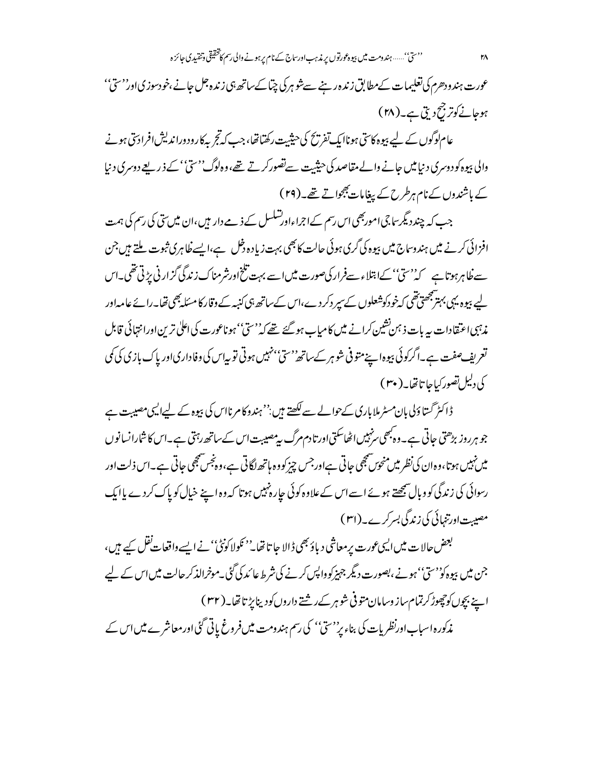عورت ہندودھرم کی تعلیمات کےمطابق زندہ رہنے سےشو ہرکی چتاکےساتھ ہی زندہ جل جانے ،خودسوزی اور''سیؓ'' ہوجانے کوتر جنج دیتی ہے۔(۲۸)

عام لوگوں کے لیے بیوہ کاسی ہوناایک تفریح کی حیثیت رکھتاتھا، جب کہ تجربہ کارود وراندیش افرادسی ہونے والی بپوہ کودوسری د نیامیں جانے والے مقاصد کی حیثیت سےتصور کرتے تھے، وہ لوگ''ستیٰ' کے ذریعے دوسری د نیا کے باشندوں کے نام ہرطرح کے پیغامات بھجواتے تھے۔(۲۹)

جب کہ چند دیگر سا جی اموربھی اس رسم کےاجراءاورتسکسل کے ذمے دار میں ،ان میں سی کی رسم کی ہمت افزائی کرنے میں ہندوساج میں بیوہ کی گری ہوئی حالت کا بھی بہت زیادہ دخل ہے،ایسے طاہری ثبوت ملتے ہیں جن سے فلاہرہوتا ہے کہ''سیّ''کےابتلاءسےفرار کی صورت میں اسے بہت تلخ اورشرمناک زندگی گزار نی بڑتی تھی۔اس لیے بیوہ یہی بہتر پھی تھی کہ خود کوشعلوں کے سیر دکر دے،اس کے ساتھ ہی کنبہ کے وقار کا مسئلہ بھی تھا۔رائے عامہ اور مذہبی اعتقادات بہ بات ذہن نشین کرانے میں کامیاب ہوگئے تھے کہ''ستیٰ' ہوناعورت کی اعلیٰ ترین اورانتہائی قابل تعریف صفت ہے۔اگرکوئی پیوہا ہے متو فی شو ہر کےساتھ''سیؒ''نہیں ہوتی تو بیاس کی وفاداریاور پاک بازی کی کمی كى دليل تصور كياجا تاتھا۔( ۳۰)

ڈاکٹر گساؤلی بان مسٹرملاباری کےحوالے سے لکھتے ہیں:''ہندوکامرنااس کی بیوہ کے لیےالیں مصیبت ہے جو ہر روز بڑھتی حاتی ہے۔ وہ بھی سرنہیں اٹھاسکتی اور تا دم مرگ سی<sup>مصیب</sup>ت اس کے ساتھ رہتی ہے۔اس کا شارانسانوں میں نہیں ہوتا،وہ ان کی نظر میں منحوں شمجھی حاتی ہےاورجس چیز کووہ ہاتھ لگاتی ہے،وہ نجس شمجھی حاتی ہے۔اس ذلت اور رسوائی کی زندگی کو وبال شمجھتے ہوئے اسےاس کےعلاوہ کوئی حارہ نہیں ہوتا کہ وہ اپنے خیال کو پاک کردے پاایک مصیبت اورتنمائی کی زندگی بسرکرے۔(۳۱)

بعض حالات میں ایسی عورت پرمعاشی دیاؤ بھی ڈالا جا تا تھا۔'' نکولا کونٹی'' نے ایسے واقعات نقل کیے ہیں، جن میں بپوہ کوُ'سیؓ''ہونے ،بصورت دیگر جہیز کو داپس کرنے کی شرط عائد کی گئی۔موخرالذکر حالت میں اس کے لیے اپنے بچوں کوچھوڑ کرتمام ساز وسامان متوفی شوہر کےرشتے داروں کودینا پڑتا تھا۔( ۳۲ ) مذکورہ اسباب اورنظر پات کی بناء پر''سیؒ'' کی رسم ہندومت میںفر وغ پاتی گئی اور معاشرے میں اس کے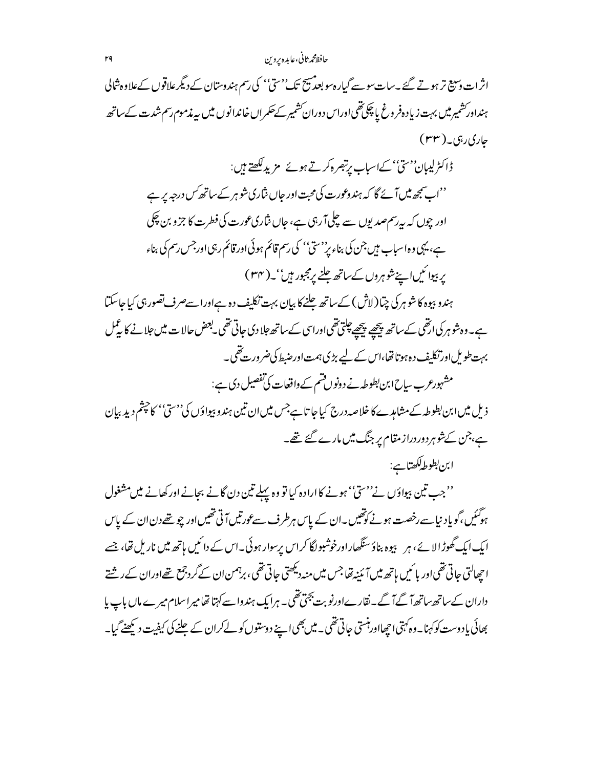## حافظ محمر ثاني،عابده پروين

اثرات دسیج تر ہوتے گئے ۔سات سوسے گیارہ سوبعد پیچ تک''سیّ'' کی رسم ہندوستان کے دیگر علاقوں کےعلاوہ شالی ہنداور شمیر میں بہت زیاد ہفروغ یا چکی تھی اوراس دوران کشمیر کےحکمراں خاندانوں میں پیرندموم رسم شدت کےساتھ حاري ربي\_(۳۳) ڈاکٹرلیبان''سیؒ' کےاسباب برتبصرہ کرتے ہوئے مزید لکھتے ہیں:

''اب سمجھ میں آئے گا کہ ہندوعورت کی محبت اور حاں نثاری شو ہر کے ساتھ *کس درجہ پر* ہے اور چوں کہ بیرسم صدیوں سے چلی آ رہی ہے، جاں نثاری عورت کی فطرت کا جزو بن چکی ہے، یہی وہ اسباب میں جن کی بناء پر''ستی'' کی رسم قائم ہوئی اور قائم رہی اور جس رسم کی بناء پر بیوا کیںا پنے شوہروں کے ساتھ جلنے پرمجبور ہیں''۔( ۳۴ )

ہندو بیوہ کا شوہر کی چا(لاش) کے ساتھ جلنے کا بیان بہت تکلیف دہ ہےاورا سےصرف تصور ہی کیا جاسکتا ہے۔وہ شوہر کی ارتقی کے ساتھ پیچھے پیچھے چکتی تقی اوراسی کے ساتھ جلا دی جاتی تقی لبعض حالا ت میں جلا نے کا پیمل بہت طویل اور تکلیف د ہ ہوتا تھا،اس کے لیے بڑی ہمت اور ضبط کی ضرورتے تھی۔ مشہورعرب ساح ابن بطوطہ نے دونوں قتم کے واقعات کی تفصیل دی ہے:

ذیل میں ابن بطوطہ کےمشاہدے کا خلاصہ درج کیا جا تا ہےجس میں ان تین ہندو بپواؤں کی''سی'' کاچنٹم دید بیان ہے،جن کےشوہر دور دراز مقام پر جنگ میں مارے گئے تھے۔

ابن بطوطهكھتاہے: ''جب تین بیواؤں نے''سیؓ'' ہونے کا ارادہ کیا تو وہ پہلے تین دن گانے بجانے اور کھانے میں مشغول ہوگئیں،گویا دنیا سے رخصت ہونے کوتھیں ۔ان کے پاس ہرطرف سےعورتیں آتی تھیں اور چو تھے دن ان کے پاس ایک ایک گھوڑ الا ئے، ہر یہوہ بناؤسنگھار اورخوشبولگا کراس پرسوار ہوئی۔اس کے دائمیں ہاتھ میں ناریل تھا، جسے اچھالتی جاتی تھی اور پائیں ہاتھ میں آئینیہ تھا جس میں منہ دیکھتی جاتی تھی ، برہمن ان کےگر دجمع تھےاوران کے رشتے داران کےساتھ ساتھ آ گے آ گے۔نقار ےاورنو بت بجتی تھی۔ ہرایک ہندواسے کہتا تھامیراسلام میرے ماں باپ پا بھائی یا دوست کوکہنا۔وہ کہتی اچھااور ہنستی جاتی تھی۔ میں بھی اپنے دوستوں کو لے کران کے جلنے کی کیفیت دیکھنے گیا۔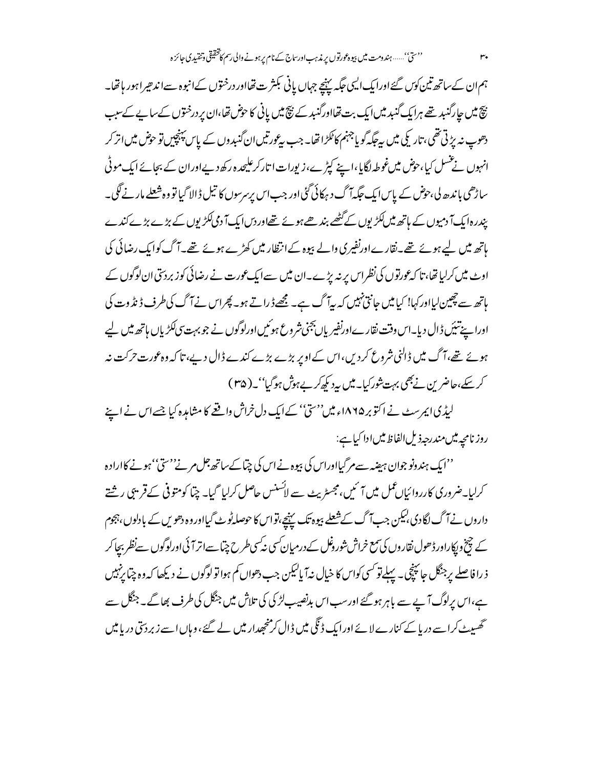ہم ان کے ساتھ تین کوں گئے اورایک ایسی جگہ پہنچے جہاں پانی بکثر ت تھااور درختوں کےانبوہ سےاندھیراہور ہاتھا۔ نیچ میں جارگنبد تھے ہرایک گنبد میں ایک بت تھااورگنبد کے نیچ میں پانی کا حوض تھا،ان پر درختوں کےساپے کےسبب دھوپ نہ پڑتی تھی، تاریکی میں بیچگہ گو یا جہنم کاٹکڑا تھا۔ جب بیڑورتیں ان گنبدوں کے پاس پینچپیں تو حوض میں اتر کر انہوں نے عسل کیا،حوض میںغوطہ لگایا،اپنے کپڑے،زیورات ا تارکرعلیحدہ رکھ دیےاوران کے بجائے ایک موٹی ساڑھی باندھ لی،حوض کے پاس ایک حکیہآ گ د ہرکائی گئی اور جب اس پرسرسوں کا تیل ڈالا گیا تو وہ شعلے مار نے لگی۔ بیدرہ ایک آ دمیوں کے ہاتھ میں لکڑیوں کے گٹھے بند ھے ہوئے تھےاوردس ایک آ دمی لکڑیوں کے بڑے بڑے کندے ہاتھ میں لیے ہوئے تھے۔نقارےاورنفیری والے بیوہ کےانتظار میں کھڑے ہوئے تھے۔آگ کوایک رضائی کی اوٹ میں کرلیا تھا، تا کہ عورتوں کی نظراس پر نہ بڑے۔ان میں سےایک عورت نے رضائی کوز بردستی ان لوگوں کے ہاتھ سے چھین لیااور کہا! کیا میں جانتی نہیں کہ پیآ گ ہے۔ مجھے ڈراتے ہو۔ پھراس نے آگ کی طرف ڈیڈ وت کی اورا پنے تنیَں ڈال دیا۔اس وقت نقارےاورنفیریاں بجنی شروع ہوئیں اورلوگوں نے جو بہت پی ککڑیاں ہاتھ میں لیے ہوئے تھے،آگ میں ڈالنی شروع کردیں،اس کے اوپر بڑے بڑے کندے ڈال دیے، تا کہ وہ عورت حرکت نہ کر سکے،حاضرین نے بھی بہت شورکیا۔میں پی<sup>ر</sup> کی کر بے ہوش ہوگیا''۔( ۳۵ )

لیڈیا بیرسٹ نے اکتوبر ۱۸۶۵ء میں''سیؒ' کےایک دل خراش واقعے کا مشاہرہ کیا جسےاس نے اپنے روز نامچه میں مندرجہ ذیل الفاظ میں ادا کیا ہے:

''ایک ہندونو جوان ہینیہ سےمرگیااوراس کی بپوہ نے اس کی چیا کےساتھ جل مرنے''سیٰ' ہونے کاارادہ کرلیا۔ضروری کارروائیاںعمل میں آئیں،مجسٹریٹ سے ایسنس حاصل کرلیا گیا۔ چما کومتوفی کےقریبی رشتے داروں نے آگ لگا دی بلیکن جب آگ کے شعلے بپوہ تک پہنچے،تواس کا حوصلہ ٹو ٹے گیااوروہ دھویں کے بادلوں،جوم کے چخ ویکاراور ڈھول نقاروں کی سمع خراش شوروغل کے درمیان کسی نہ کسی طرح چتا سےاتر آئی اورلوگوں سےنظر بیچا کر ذ را فاصلے پر جنگل جائپنچی۔ پہلےتو کسی کواس کا خیال نہ آپالیکن جب دھواں کم ہوا تو لوگوں نے دیکھا کہ وہ چتا پزہیں ہے،اس پرلوگ آپے سے باہر ہوگئے اور سب اس بدنصیب لڑ کی کی تلاش میں جنگل کی طرف بھاگے۔جنگل سے گھسپٹ کراسے دریا کے کنارے لائے اورابک ڈنگی میں ڈال کرمنحجدار میں لے گئے، وہاں اسے زبردستی دریامیں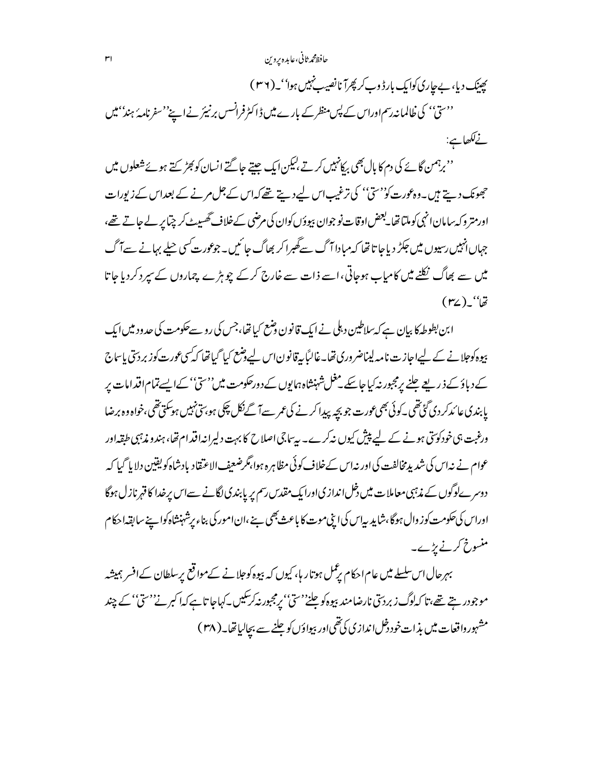حافظ محمرثاني،عابده بروين

پچینک دیا، بےجاری کوایک بارڈ وب کر پھرآ نانصیب نہیں ہوا''۔(۳۶) ''سیّ'' کی خالمانہ رسم اوراس کے پس منظر کے بارے میں ڈاکٹرفرانسس برنیئر نے اپنے''سفرنامہ' ہند'' میں نےلکھاہے:

''برہمن گائے کی دم کا بال بھی بِرکانہیں کرتے ہلیکن ایک جیتے جا گتے انسان کوبھڑ <sub>کتے</sub> ہوئے شعلوں میں حجھونک دیتے ہیں۔وہ عورت کو''سیؓ'' کی ترغیب اس لیے دیتے تھے کہ اس کے جل مرنے کے بعد اس کے زیورات اورمتر وکہ بیامان انہی کوملتا تھا۔بعض اوقات نو جوان بپوؤں کوان کی مرضی کےخلاف گھسپیٹ کر چتا پر لے جاتے تھے، جہاں انہیں رسیوں میں جکڑ دیا جا تا تھا کہ مبادا آگ سے گھبرا کر بھاگ جا ئیں۔جوعورت کسی حیلے بہانے سے آگ میں سے بھاگ نکلنے میں کامیاب ہوجاتی،اسے ذات سے خارج کرکے چوہڑے چماروں کے سیر دکردیا جاتا  $(r_{\mathbf{Z}})$ \_'' $\ddot{\vec{z}}$ 

ابن بطوطہ کا بیان ہے کہ سلاطین دہلی نے ایک قانون وضع کیا تھا،جس کی رو سےحکومت کی حدود میں ایک پیوہ کوجلانے کے لیےاجازت نامہ لیناضروری تھا۔غالباً پیرقانون اس لیے وضع کیا گیاتھا کہ کی عورت کوز بردستی پاساج کے دیاؤ کے ذریعے جلنے برمجبور نہ کیا جاسکے مغل شہنشاہ ہمایوں کے دورحکومت میں''سیؓ'' کےایسےتمام اقدامات پر پابندی عا ئدکر دی گئی تھی ۔کوئی بھی عورت جو بچہ پیدا کرنے کی عمر سے آ گےنکل چکی ہو بتی نہیں ہوسکتی تھی ،خواہ وہ برضا ورغبت ہی خودکوئتی ہونے کے لیے پیش کیوں نیرکرے۔ پیسا جی اصلاح کا بہت دلیرانیہ اقدام تھا، ہندو مذہبی طبقہ اور عوام نے نداس کی شدید مخالفت کی اور نہ اس کےخلاف کوئی مظاہرہ ہوا،مگرضعیف الاعتقاد بادشاہ کو یقین دلایا گیا کہ دوسرےلوگوں کے مذہبی معاملات میں دخل اندازی اورایک مقدس رسم پر پابندی لگانے سےاس پر خدا کا قہرنازل ہوگا اوراس کی حکومت کوز وال ہوگا،شاید بیاس کی اینی موت کا باعث بھی ہے ،ان امور کی بناء پرشہنشاہ کوا ہے سابقہ احکام منسوخ کرنے پڑے۔

بہرحال اس سلسلے میں عام احکام برعمل ہوتا ر ہا، کیوں کہ بیوہ کوجلانے کےمواقع برسلطان کےافسر ہمیشہ موجودر بتے تھے،تا کہلوگ زبردسی نارضامند بیوہ کوحلنے' سیّ' پرمجبور نہ کرسکیں۔کہاجا تاہے کہا کبر نے''سیّ' کے چند مشہور واقعات میں بذات خود دخل اندازی کی تھی اور بپواؤں کو جلنے سے بجالیاتھا۔( ۳۸ )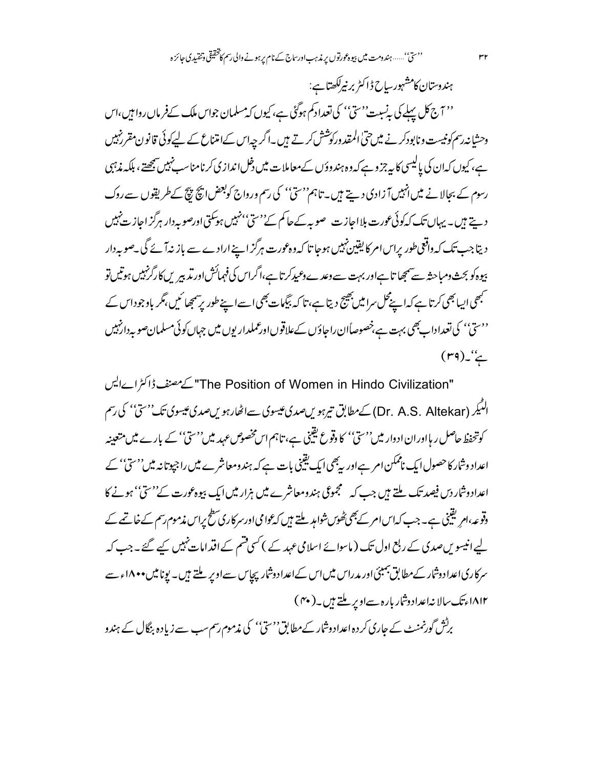ہندوستان کامشہورساح ڈاکٹر برنیرلکھتاہے: '' آج کل پہلے کی پہ نیبت''سیؒ'' کی تعدادکم ہوگئی ہے، کیوں کہ مسلمان جواس ملک کےفرماں روا ہیں،اس وحشانہ رسم کونیست ونابودکر نے میں حتی المقد ورکوشش کرتے ہیں۔اگر چہ اس کےامتناع کے لیےکوئی قانون مقررنہیں ہے، کیوں کہان کی پالیسی کا ہہ جزو ہے کہ وہ ہندوؤں کےمعاملات میں دخل اندازی کرنامناسب نہیں پیچھتے ، بلکہ مذہبی رسوم کے بحالا نے میں انہیں آ زادی دیتے ہیں۔ تاہم''سیؒ'' کی رسم ورواج کوبعض اپنچ بیچ کےطریقوں سے روک دیتے ہیں۔ یہاں تک کہ کوئی عورت بلااجازت صوبہ کے حاکم کے''ستی''نہیں ہوسکتی اورصوبہ دار ہرگز اجاز ت نہیں { دیتاجب تک کہ داقعی طور پراس امر کا یقین نہیں ہوجا تا کہ وہ عورت ہرگز اپنے ارادے سے باز نہآ ئے گی ۔صوبہ دار بیوہ کو بحث ومباحثہ سے ہمچیا تاہےاور بہت سے وعدے *وعید کر*تا ہے،اگراس کی فہمائش اور تدبیر ں کا رگرنہیں ہوتیں تو مبھی ایبا بھی کرتا ہے کہ اپنےمحل سرا میں بھیج دیتا ہے، تا کہ بیگمات بھی اسے اپنے طور پر سمجھا ئیں ،مگر باوجوداس کے <sup>د دس</sup>تیٰ' کی تعداداب بھی بہت ہے،خصوصاًان راجاؤں کےعلاقوںاورعملداریوں میں جہاں کوئی مسلمان صوبہ دارنہیں  $(rq)$   $\sim$ 

"The Position of Women in Hindo Civilization" کے مصنف ڈاکٹرا رہایس الٹیکر (Dr. A.S. Altekar) کےمطابق تیرہویںصدی عیسوی سےاٹھارہویںصدی عیسوی تک''سیّ'' کی رسم کوتحفظ حاصل ر ہااوران ادوار میں''سیؒ' کا دقوع یقینی ہے، تاہم اس مخصوص عہد میں''سیؒ' کے بارے میں متعینہ اعداد وشار کاحصول ایک ناممکن امر ہےاور بہ بھی ایک یقینی بات ہے کہ ہندومعاشرے میں راجپوتانہ میں''سیّ'' کے اعدادوشار دس فیصد تک ملتے ہیں جب کہ سمجموعی ہندومعاشرے میں ہزار میں ایک بیوہ عورت کے''سیٰ'' ہونے کا وقوعہ،ام یقینی ہے۔ جب کہاس امر کےبھی ٹھوں شواہد ملتے ہیں کہ عوامی اورسر کاری سطح پراس مذموم رسم کے خاتمے کے لیے انیسویں صدی کے ربع اول تک ( ماسوائے اسلامی عہد کے ) کسی قسم کے اقدامات نہیں کیے گئے۔جب کہ سرکاری اعداد وشار کے مطابق جمیئی اور مدراس میں اس کے اعداد وشار پچاس سے اوپر ملتے ہیں۔ پونا میں • • ۱۸ء سے ۱۸۱۲ءتک سالا نہاعداد دشار بارہ سےاوپر ملتے ہیں۔( ۴۰ )

برٹش گورنمنٹ کے جاری کر دہ اعدادوشار کے مطابق''سیؓ'' کی مذموم رسم سب سے زیادہ بنگال کے ہندو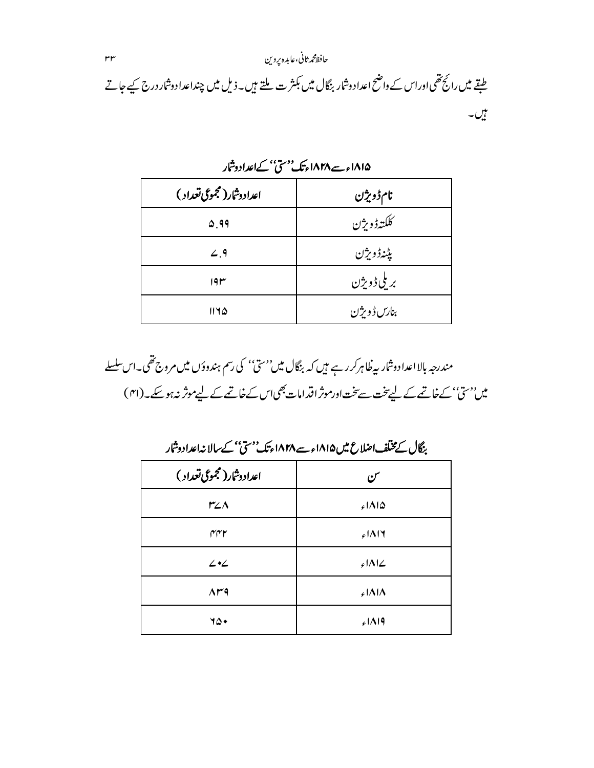# حافظ محمرثاني،عابده يروين  $\mathsf{r} \mathsf{r}$ طبقے میں رائج تھی اوراس کے داضح اعداد دشار بنگال میں بکثر ت ملتے ہیں۔ذیل میں چنداعداد دشار درج کیے جاتے بیں۔<br>نیب

| اعدادوشار(مجموعی تعداد ) | نام ڈویژن   |
|--------------------------|-------------|
| $\Delta$ 99              | كلكته ڈویژن |
| 2.9                      | يڈنەژوېژن   |
| 19r                      | بريلى ڈویژن |
| 1170                     | بنارس ڈویژن |

۱۸۱۵ء سے ۱۸۲۸ءتک''سیٰ' کےاعدادوشار

مندرجہ بالا اعدادوشار بیہ کاہرکر رہے ہیں کہ بنگال میں''سیؓ'' کی رسم ہندوؤں میں مروج تھی۔اس سلسلے میں''سیٰ' کےخاتمے کے لیے تخت سے تخت اورموثر اقدامات بھی اس کےخاتمے کے لیےموثر نہ ہوسکے۔(۴۱)

بنگال کے مختلف اصلاع میں ۱۸۱۵ء سے ۱۸۲۸ءتک' سی ناکے سالا نہاعدادوشار

| اعدادوشار (مجموعی تعداد ) | س      |
|---------------------------|--------|
| $r_{\text{Z}}$ $\wedge$   | ۱۸۱۵ء  |
| ۴۴۲                       | ۱۸۱۶ء  |
| 42                        | ۷۱۸۱۷ء |
| $\Lambda^{\mu q}$         | ۱۸۱۸ء  |
| 15.                       | 5119   |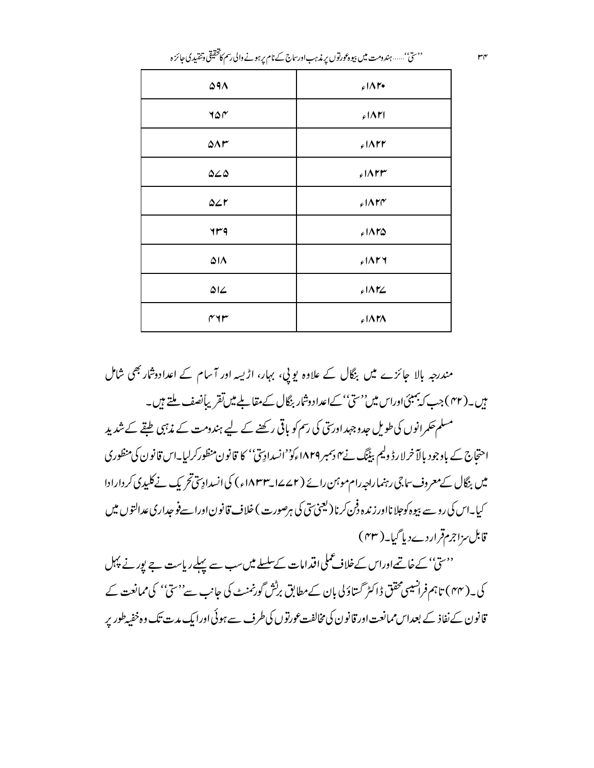| $\Delta$ 9 $\Lambda$   | $f \wedge r$           |
|------------------------|------------------------|
| 40 <sub>0</sub>        | $51\Delta T$           |
| $\Delta \Lambda r$     | $51\wedge$ rr          |
| $\Delta \angle \Delta$ | $51\wedge$ rr          |
| $\Delta$               | $51\mathrm{APP}$       |
| yrg                    | $51\wedge F\triangle$  |
| $\Delta I$             | $f$ $\Lambda$ ry       |
| $\Delta L$             | $f \Lambda$ r $\angle$ |
| سمادىما                | $51\Lambda T\Lambda$   |

''ستی''……ہندومت میں بیوہ عورتوں پر زیرہ بادرساج کے نام پرہونے والی رسم کا مخقیقی وتنقیدی جائزہ

مندرجہ بالا جائزے میں بنگال کے علاوہ یویی، بہار، اڑیسہ اور آسام کے اعدادوشار بھی شامل ہیں۔( ۴۲ )جب کہ بمبئی اوراس میں''سیؒ' کےاعداد وشار بنگال کے مقابلے میں تقریباً نصف ملتے ہیں۔ مسلم حکمرانوں کی طویل حدوجہداور تق کی رسم کو باقی رکھنے کے لیے ہندومت کے مذہبی طبقے کے شدید احتجاج کے باوجود بالآ خرلارڈ ولیم بیٹنگ نے ہیں ہمبر ۱۸۲۹ءکو''انسدادِ پیؒ' کا قانون منظورکرلیا۔اس قانون کی منظوری میں بنگال کے معروف ساجی رہنما راجہ رام موہنن رائے (۲ کے ایس ۱۸۳۳ء) کی انسدادِسی تحریک نے کلیدی کر دارادا

کیا۔اس کی رو سے بیوہ کوجلا نااور زندہ دفن کرنا (لیجنی سی کی ہرصورت ) خلاف قانو ناورا سےفو جداری عدالتوں میں قابل مزاجرمقراردےد پا گیا۔( ۴۳ )

''سیٰ'' کے خاتمےاوراس کےخلاف عملی اقدامات کےسلسلے میں سب سے پہلے ریاست ہے پور نے پہل کی۔( ۴۴) تاہم فرانسیسی محقق ڈاکٹر گستاؤ کی بان کے مطابق برکش گورنمنٹ کی جانب سے''ستی'' کی ممانعت کے قانون کے نفاذ کے بعداس ممانعت اور قانون کی مخالفت عورتوں کی طرف سے ہوئی اورایک مدت تک وہ خفیہ طور پر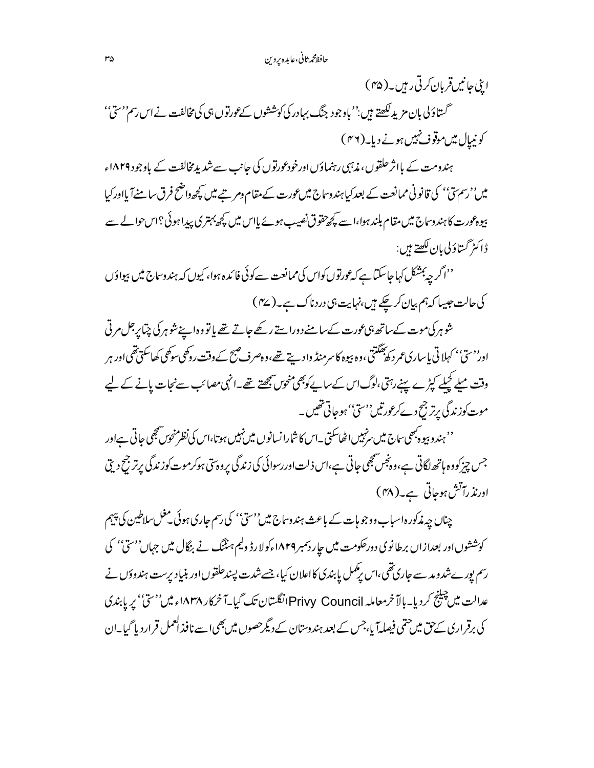اینی جانیں قربان کرتی رہیں۔( ۴۵ ) گستاؤلی بان مزید لکھتے ہیں:''یاوجود جنگ بہادر کی کوششوں کےعورتوں ہی کی مخالفت نے اس رسم''سیٰ'' کونیپال میںموقوف نہیں ہونے دیا۔(۳۶)

ہندومت کے بااثر حلقوں، مذہبی رہنماؤں اورخودعورتوں کی جانب سےشدید مخالفت کے باوجود ۱۸۲۹ء میں''رسمتی'' کی قانونی ممانعت کے بعدکیا ہندوساج میں عورت کے مقام ومر ہے میں کچھ داضح فرق سامنےآ بااورکبا بیوہ عورت کا ہندوساج میں مقام بلند ہوا،اسے کچھ تقوق نصیب ہوئے پاس میں کچھ بہتری پیداہوئی؟اس حوالے سے <u>ۋاڭىرگىتاؤلى بان كىھتے ہېں:</u>

''اگر چەبىشكل كہاجاسكىّا ہے كہ <sub>گ</sub>ورتوں كواس كى ممانعت سے كوئى فا ئدہ ہوا، كيوں كہ ہندوساج ميں بيواؤں کی حالت جیسا کہ ہم بیان کرچکے ہیں،نہایت ہی دردناک ہے۔(۳۷)

شوہر کی موت کے ساتھ ہی عورت کے سامنے دوراستے رکھے جاتے تھے یا تو وہ اپنے شوہر کی چیا پر جل مرتی اور<sup>د م</sup>تیٗ' کہلاتی باساری عمر د کھ<sup>بھگ</sup>تتی ،وہ بیوہ کا سرمنڈ واد سے تھے،وہ صرف صبح کے دقت روکھی سوگھی کھاسکتی تھی اور ہر وقت میلے کچلے کپڑے پہنے رہتی،لوگ اس کے ساپےکوبھی منحوس پیچھتے تھے۔انہی مصائب سےنجات پانے کے لیے موت کوزندگی پرتر جیح دےکرعورتیں''سیٰ'' ہوجاتی تھیں۔

'' ہندو ہیوہ بھی ساج میں ہزئییں اٹھاسکتی ۔اس کا شارا نسانوں میں نہیں ہوتا،اس کی نظر منحوس بھی جاتی ہےاور جس چیز کوو ہ ہاتھ لگاتی ہے،وہ پخس پھی جاتی ہے،اس ذلت اور رسوائی کی زندگی پروہ تی ہوکرموت کوزندگی پرتر جح دیتی اورنذ رآتش ہوجاتی ہے۔( ۴۸)

چناں چہ مذکورہ اسباب ووجو ہات کے باعث ہندوساج میں''سیؒ' کی رسم جاری ہوئی منحل سلاطین کی پیہم کوششوں اور بعدازاں برطانوی دورحکومت میں جار دسمبر ۱۸۲۹ءکولارڈ ولیم ہنڈنگ نے بنگال میں جہاں''سیّ'' کی رسم یور ےشدو مد سے جاری تھی،اس پڑممل یا بندی کااعلان کیا، جسے شدت پسندحلقوں اور بنیاد پرست ہندوؤں نے عدالت میں چینج کردیا۔بالآ خرمعاملہ Privy Councilانگلستان تک گیا۔آ خرکار ۱۸۳۸ء میں''سی'' پر پابندی کی برقر اری کے حق میں حتمی فیصلہآ یا،جس کے بعد ہندوستان کے دیگرحصوں میں بھی اسے نافذ العمل قرار دیا گیا۔ان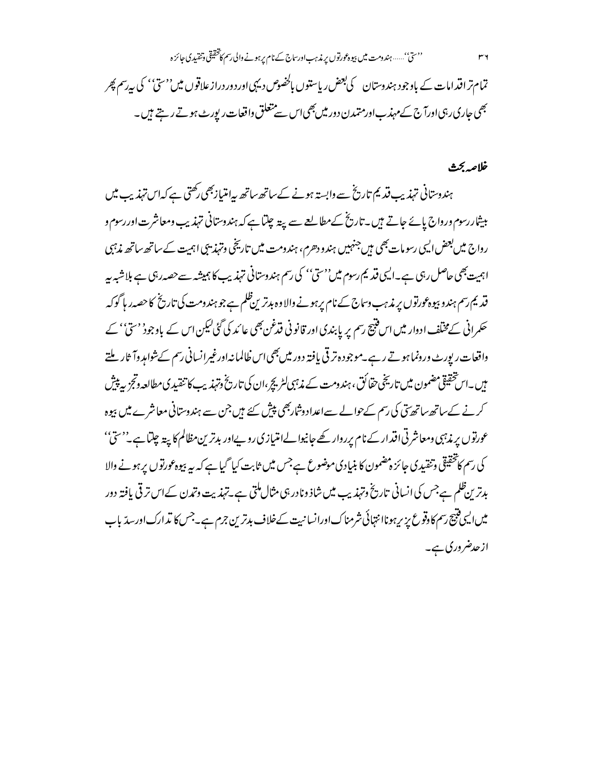تمام تراقدامات کے باوجود ہندوستان کی بعض ریاستوں بالخصوص دیہی اور دور دراز علاقوں میں''سیّ'' کی بیرسم پھر بھی جاری رہی اورآج کے مہذب اور متمدن دور میں بھی اس سے متعلق واقعات رپورٹ ہوتے رہتے ہ<sub>ی</sub>ں۔

### خلاصه بحث

٣٦

ہندوستانی تہذیب قدیم تاریخ سے وابستہ ہونے کےساتھ ساتھ پیا متیازبھی رکھتی ہے کہ اس تہذیب میں بیشاررسوم ورواج پائے جاتے ہیں۔تاریخ کےمطالعے سے پیتہ چلتا ہے کہ ہندوستانی تہذیب ومعاشرت اور رسوم و رواج میں بعض ایسی رسومات بھی میں جنہیں ہندو دھرم، ہندومت میں تاریخی وتہذیبی اہمیت کے ساتھ ساتھ مذہبی اہمیت بھی حاصل رہی ہے۔ایسی قدیم رسوم میں''سیؒ'' کی رسم ہندوستانی تہذیب کا ہمیشہ سےحصہ رہی ہے بلاشیہ بیہ قدیم رسم ہندو بیوہ عورتوں پر مذہب وساج کے نام پر ہونے والا وہ بدترین ظلم ہے جو ہند ومت کی تاریخ کا حصہ ر ہا گوکہ حکمرانی کے مختلف ادوار میں اس فتیج رسم پر پابندی اور قانو نی فتدغن بھی عائد کی گئی لیکن اس کے باوجودْ 'ستیٰ' کے واقعات ریورٹ ورونما ہوتے رہے۔موجود ہتر قی یافتہ دور میں بھی اس ظالمانہ اورغیرانسانی رسم کےشواہد وآ ثار ملتے میں ۔اس تحقیقی مضمون میں تاریخی حقائق ، ہندومت کے مذہبی لٹریچ ،ان کی تاریخ وتہذیب کا تنقیدی مطالعہ وتجزیہ پیش کرنے کےساتھ ساتھ تن کی رسم کےحوالے سےاعداد وشارجھی پیش کئے ہیں جن سے ہندوستانی معاشرے میں بیوہ عورتوں پر مذہبی ومعاشرتی اقدار کے نام پرروار کھے جانیوا لےامتیازی روپےاور بدترین مظالم کا پیۃ چلتا ہے۔''سیٰ'' کی رسم کا تحقیقی وتنقیدی جائز ہضمون کا بنیادی موضوع ہےجس میں ثابت کیا گیا ہے کہ بیہ بیوہ عورتوں پر ہونے والا بدترین ظلم ہےجس کی انسانی تاریخ وتہذیب میں شاذ ونادر ہی مثال ملتی ہے۔تہذیت وتم*د*ن کےاس تر قی یافتہ دور میں ایسی فتیج رسم کا دقوع پزیر ہوناانتہائی شرمناک اورانسانیت کےخلاف بدترین جرم ہے۔جس کا تدارک اورسدّ باب ازحدضر وری ہے۔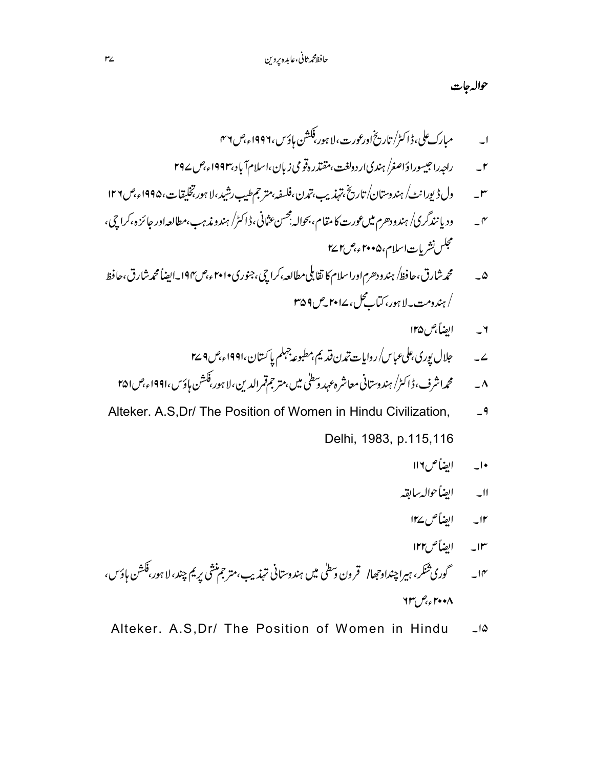حواله جات

- راجېراحيسوراؤاصغر/ ہنديار دولغت،مقتدره قو مي زبان،اسلام آباد،۱۹۹۳ء،ص ۲۹۷  $-1$
- ول ڈیورانٹ/ ہندوستان/تاریخ،تہذیب،تمدن،فلسفہ،متر جمطیب رشید،لا ہور،تخلیقات،۱۹۹۵ء،ص ۱۲۶  $-r$
- ود یا نندگر کی/ ہندودھرم میں عورت کا مقام، بحوالہ بجسن عثانی، ڈاکٹر/ ہندو مذہب،مطالعہاور جائزہ،کراچی،  $\mathcal{N}$ مجلس نشريات اسلام، ۲۰۰۵ء،ص۲۷ س
- محمدشارق،حافظ/ ہندودھرم۱وراسلام کا تقابلی مطالعہ،کراچی،جنوری•۶۰۱ ء،ص۱۹۴۔ایضاً محمدشارق،حافظ  $-\Delta$ / ہندومت به لا ہور، کتابے گل، ۱۷**۰۱** میں ۲۵۹
	- ۲ \_\_\_\_ ايضاً *جن ۱۲*۵
	- جلال بوري على عباس/ روايات تدن قديم بمطبوعه جهلم با كستان ،١٩٩١ء ص ٢ ٢٤  $\overline{2}$
	- محمداشرف، ڈاکٹر/ ہندوستانی معاشر ہ *عہد دسط*ٰی میں،متر جمقمرالدین،لا ہور،فکشن ہاؤس،۱۹۹۱ء،ص **۴۵۱**  $\overline{\phantom{a}}$
- Alteker. A.S, Dr/ The Position of Women in Hindu Civilization,  $-9$ Delhi, 1983, p.115,116
	- ابضاً ص١١٦  $\overline{\phantom{a}}$
	- اابه الضأحواله ببالقهر
	- I۲\_ الضاً ص ۱۲۷
	- ۱۳ ایضاً ص۱۲۲
- گوري ثنكر، ہيراچنداوحجاا قر ون وسطى ميں ہندوستاني تہذيب،متر جم منشي پريم چند، لا ہور،فكشن ہاؤس،  $-10^{6}$  $\mathcal{H}^{\mu}$   $\mathcal{P}_{\mathcal{C}}$   $\mathcal{F}$  + +  $\Lambda$
- Alteker. A.S.Dr/ The Position of Women in Hindu  $-10$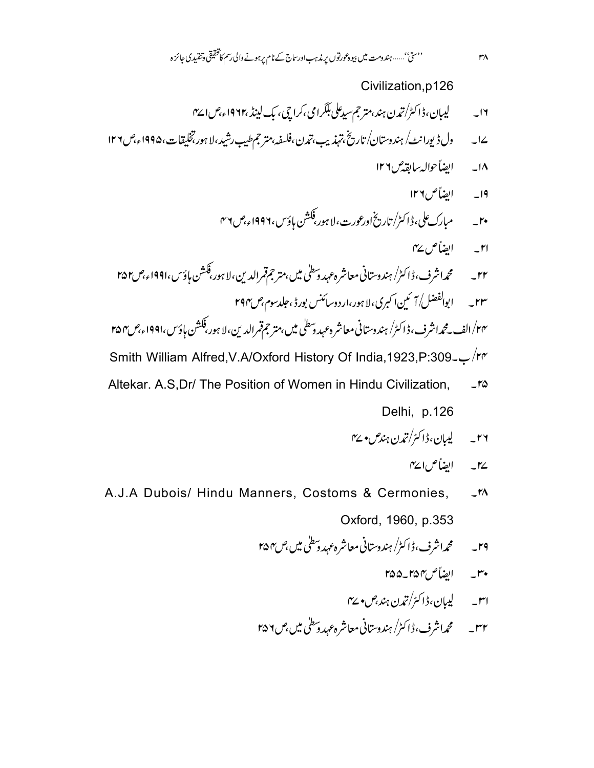Civilization.p126 ۱۲۔ پیپان،ڈاکٹر/تدن ہند،متر جم سیدعلی بلکرامی،کراچی، یک لینڈ ،۱۹۶۲ء،ص۱۷۲ ول ڈیورانٹ/ ہندوستان/ تاریخ،تہذیب،تمدن،فلسفہ،مترجم طیب رشید،لا ہور تخلیقات،۱۹۹۵ء،ص۱۲۶  $\overline{\phantom{a}}$   $\overline{\phantom{a}}$ ١٨\_\_\_ ابضاً حواله سابقه مس١٢٦ ١٩\_\_\_\_ الضاً ص ١٢٦ r۱\_ ایضاً ص ۷۷ ۲۲ \_ محمداشرف، ڈاکٹر/ ہندوستانی معاشرہ عہد دسطٰی میں،متر جمقمرالدین،لا ہور،فکشن ہاؤس،۱۹۹۱ء،ص۲۵۲ ۲۳ \_\_\_ ابوالفضل/ آئمین اکبری، لا ہور،ارد وسائنس بورڈ ،جلدسوم،ص۲۹۴ ۲۴/الف ـ محمداشرف،ڈاکٹر/ ہندوستانی معاشرہ عہد دسطٰی میں،متر جمقمرالدین،لا ہور،فکشن ہاؤس،۱۹۹۱ء،ص ۲۵۴ Smith William Alfred, V.A/Oxford History Of India, 1923, P:309 - /rr

- Altekar. A.S.Dr/ The Position of Women in Hindu Civilization,  $-10$ Delhi, p.126
	- ۲۶\_\_\_\_لیبان،ڈاکٹر/تمدن ہند*ش• س*ے
		- يہ \_\_\_ الضاً ص1 س
- A.J.A Dubois/ Hindu Manners, Costoms & Cermonies,  $-1<sup>n</sup>$ Oxford, 1960, p.353
	- ۲۹ \_\_\_\_ محمداشرف، ڈاکٹر/ ہندوستانی معاشرہ *عہد دسط*لی میں بھ ۲۵۴
		- مبن الضأس ٢۵٥\_٢۵۵
		- امىس كېي<sub>ىل</sub>ان،ۋاڭى<sup>ر</sup>/تىدن ہند،ص• <sup>س</sup>ا
	- ۳۲ \_ محمداشرف، ڈاکٹر/ ہندوستانی معاشر ہ عہد وسطٰی میں ۲۵۶ م

 $r_A$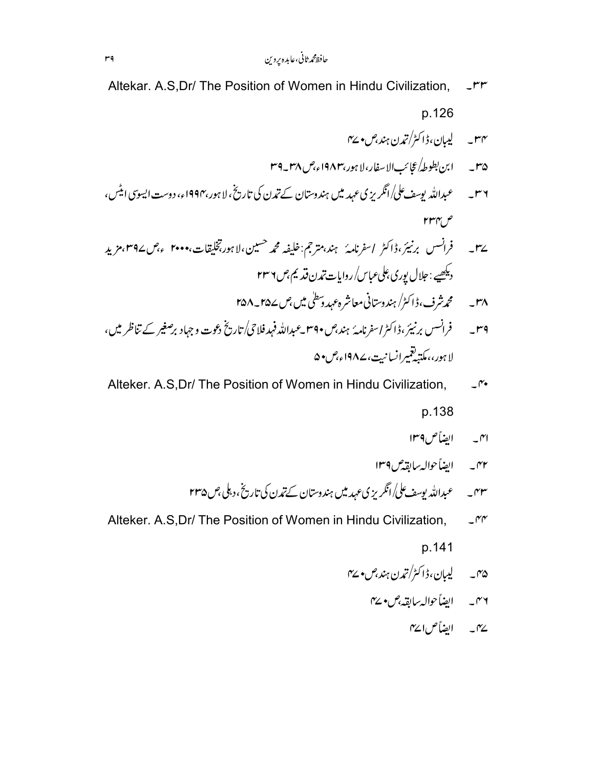- Altekar. A.S.Dr/ The Position of Women in Hindu Civilization,  $-rr$ p.126 س ساسىيە لىيان، ڈاکٹر/تى<sub>مە</sub>ن ہند،ص• ∠ى ٣۵ \_\_\_ ابن بطوطهُ عجائب الإسفار، لا ہور،١٩٨٣ء،ص ٣٨\_٣٩ ۳۶ ۔ عبداللہ یوسف علی/انگریزی عہد میں ہندوستان کے تیرن کی تاریخ، لا ہور،۱۹۹۴ء، دوست ایسوسی ایٹس،  $rrr$ ے۳۔ فرانسس برنیئر،ڈاکٹر اسفرنامہُ ہند،مترجم:خلیفہ محمہ حسین،لا ہور،تخلیقات،•••۲ ءجں∠۳۹مزیدِ دیکھیے : جلال پوری علی عباس/روایات تدن قدیم مِس ۲۳۶ ۳۸\_\_\_\_ محم*ه شر*ف،ڈاکٹر/ ہندوستانی معاشرہ *عہد دسط*لی میں پھر سے ۲۵۸\_۲۵۸ ۳۹ \_ \_ \_ فرانسس برنبیرَ ،ڈاکٹراسفرنامہُ ہند،ص ۳۹۰ \_عبداللہ فہد فلاحی/تاریخ دعوت و جہاد برصغیر کے تناظر میں ، لا ہوری مکتبہ تقبیرانسانیت، ۱۹۸۷ء میں • ۵
- Alteker. A.S.Dr/ The Position of Women in Hindu Civilization,  $-\gamma$ p.138
	- ابهمه الضأص ۱۳۹
	- ۴۲ به ایضاً حوالهٔ بیابقدس۱۳۹
	- ۴۳ په ۱۷۳۰ عبدالله یوسف کلي/انگریز ی عهد میں ہندوستان کے تدن کی تاریخ ،دبلی ،ص ۲۳۵
- Alteker. A.S, Dr/ The Position of Women in Hindu Civilization.  $-rr$

p.141

- ۳۵ \_ ليېان، ڈاکٹر/تمدن ہند بص• ٢۷
	- ۳۶ ايضاً حواله *ب*ابقه <sup>م</sup>ن ۲⁄۰ -
		- یہ ابضاً ص۱۷ ہ